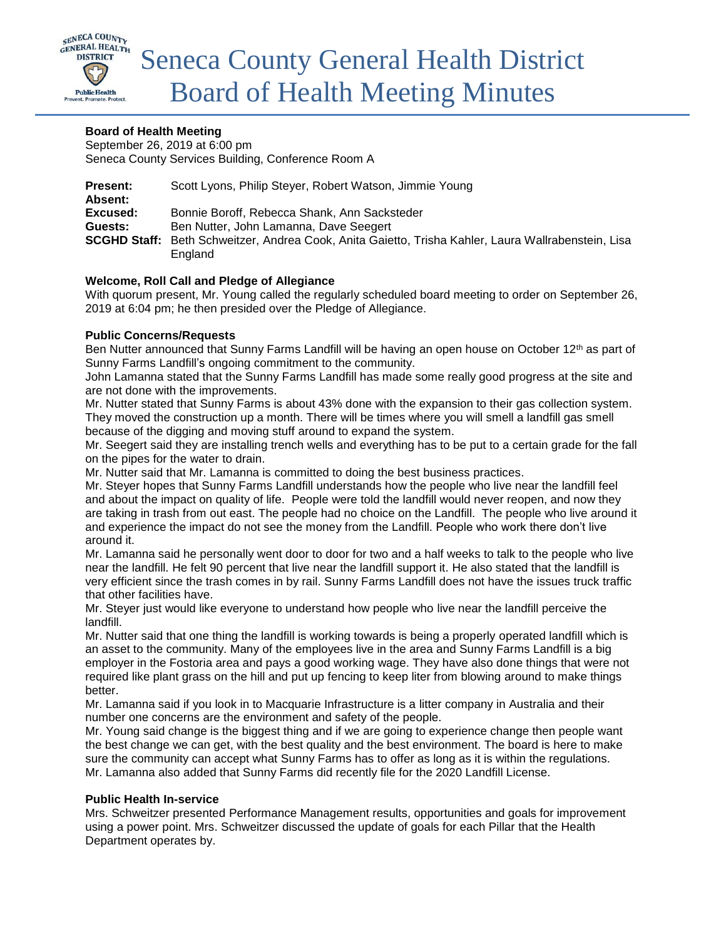

# **Board of Health Meeting**

September 26, 2019 at 6:00 pm Seneca County Services Building, Conference Room A

| <b>Present:</b><br>Absent: | Scott Lyons, Philip Steyer, Robert Watson, Jimmie Young                                             |
|----------------------------|-----------------------------------------------------------------------------------------------------|
| Excused:                   | Bonnie Boroff, Rebecca Shank, Ann Sacksteder                                                        |
| Guests:                    | Ben Nutter, John Lamanna, Dave Seegert                                                              |
|                            | SCGHD Staff: Beth Schweitzer, Andrea Cook, Anita Gaietto, Trisha Kahler, Laura Wallrabenstein, Lisa |
|                            | England                                                                                             |

# **Welcome, Roll Call and Pledge of Allegiance**

With quorum present, Mr. Young called the regularly scheduled board meeting to order on September 26, 2019 at 6:04 pm; he then presided over the Pledge of Allegiance.

## **Public Concerns/Requests**

Ben Nutter announced that Sunny Farms Landfill will be having an open house on October 12<sup>th</sup> as part of Sunny Farms Landfill's ongoing commitment to the community.

John Lamanna stated that the Sunny Farms Landfill has made some really good progress at the site and are not done with the improvements.

Mr. Nutter stated that Sunny Farms is about 43% done with the expansion to their gas collection system. They moved the construction up a month. There will be times where you will smell a landfill gas smell because of the digging and moving stuff around to expand the system.

Mr. Seegert said they are installing trench wells and everything has to be put to a certain grade for the fall on the pipes for the water to drain.

Mr. Nutter said that Mr. Lamanna is committed to doing the best business practices.

Mr. Steyer hopes that Sunny Farms Landfill understands how the people who live near the landfill feel and about the impact on quality of life. People were told the landfill would never reopen, and now they are taking in trash from out east. The people had no choice on the Landfill. The people who live around it and experience the impact do not see the money from the Landfill. People who work there don't live around it.

Mr. Lamanna said he personally went door to door for two and a half weeks to talk to the people who live near the landfill. He felt 90 percent that live near the landfill support it. He also stated that the landfill is very efficient since the trash comes in by rail. Sunny Farms Landfill does not have the issues truck traffic that other facilities have.

Mr. Steyer just would like everyone to understand how people who live near the landfill perceive the landfill.

Mr. Nutter said that one thing the landfill is working towards is being a properly operated landfill which is an asset to the community. Many of the employees live in the area and Sunny Farms Landfill is a big employer in the Fostoria area and pays a good working wage. They have also done things that were not required like plant grass on the hill and put up fencing to keep liter from blowing around to make things better.

Mr. Lamanna said if you look in to Macquarie Infrastructure is a litter company in Australia and their number one concerns are the environment and safety of the people.

Mr. Young said change is the biggest thing and if we are going to experience change then people want the best change we can get, with the best quality and the best environment. The board is here to make sure the community can accept what Sunny Farms has to offer as long as it is within the regulations. Mr. Lamanna also added that Sunny Farms did recently file for the 2020 Landfill License.

## **Public Health In-service**

Mrs. Schweitzer presented Performance Management results, opportunities and goals for improvement using a power point. Mrs. Schweitzer discussed the update of goals for each Pillar that the Health Department operates by.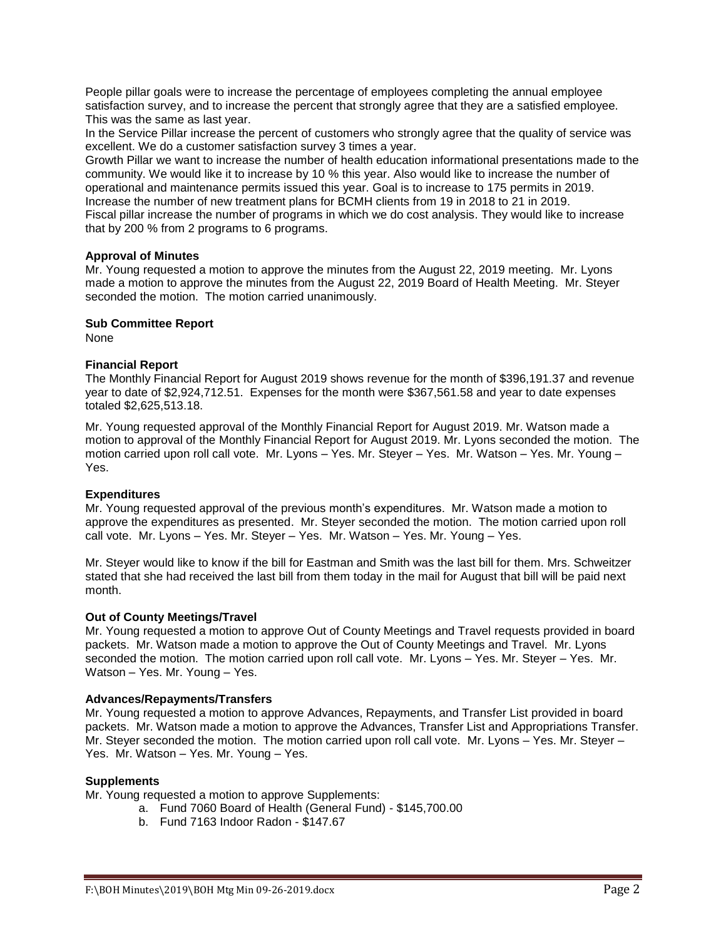People pillar goals were to increase the percentage of employees completing the annual employee satisfaction survey, and to increase the percent that strongly agree that they are a satisfied employee. This was the same as last year.

In the Service Pillar increase the percent of customers who strongly agree that the quality of service was excellent. We do a customer satisfaction survey 3 times a year.

Growth Pillar we want to increase the number of health education informational presentations made to the community. We would like it to increase by 10 % this year. Also would like to increase the number of operational and maintenance permits issued this year. Goal is to increase to 175 permits in 2019. Increase the number of new treatment plans for BCMH clients from 19 in 2018 to 21 in 2019. Fiscal pillar increase the number of programs in which we do cost analysis. They would like to increase that by 200 % from 2 programs to 6 programs.

## **Approval of Minutes**

Mr. Young requested a motion to approve the minutes from the August 22, 2019 meeting. Mr. Lyons made a motion to approve the minutes from the August 22, 2019 Board of Health Meeting. Mr. Steyer seconded the motion. The motion carried unanimously.

## **Sub Committee Report**

None

# **Financial Report**

The Monthly Financial Report for August 2019 shows revenue for the month of \$396,191.37 and revenue year to date of \$2,924,712.51. Expenses for the month were \$367,561.58 and year to date expenses totaled \$2,625,513.18.

Mr. Young requested approval of the Monthly Financial Report for August 2019. Mr. Watson made a motion to approval of the Monthly Financial Report for August 2019. Mr. Lyons seconded the motion. The motion carried upon roll call vote. Mr. Lyons – Yes. Mr. Steyer – Yes. Mr. Watson – Yes. Mr. Young – Yes.

## **Expenditures**

Mr. Young requested approval of the previous month's expenditures. Mr. Watson made a motion to approve the expenditures as presented. Mr. Steyer seconded the motion. The motion carried upon roll call vote. Mr. Lyons – Yes. Mr. Steyer – Yes. Mr. Watson – Yes. Mr. Young – Yes.

Mr. Steyer would like to know if the bill for Eastman and Smith was the last bill for them. Mrs. Schweitzer stated that she had received the last bill from them today in the mail for August that bill will be paid next month.

## **Out of County Meetings/Travel**

Mr. Young requested a motion to approve Out of County Meetings and Travel requests provided in board packets. Mr. Watson made a motion to approve the Out of County Meetings and Travel. Mr. Lyons seconded the motion. The motion carried upon roll call vote. Mr. Lyons – Yes. Mr. Steyer – Yes. Mr. Watson – Yes. Mr. Young – Yes.

## **Advances/Repayments/Transfers**

Mr. Young requested a motion to approve Advances, Repayments, and Transfer List provided in board packets. Mr. Watson made a motion to approve the Advances, Transfer List and Appropriations Transfer. Mr. Steyer seconded the motion. The motion carried upon roll call vote. Mr. Lyons – Yes. Mr. Steyer – Yes. Mr. Watson – Yes. Mr. Young – Yes.

## **Supplements**

Mr. Young requested a motion to approve Supplements:

- a. Fund 7060 Board of Health (General Fund) \$145,700.00
- b. Fund 7163 Indoor Radon \$147.67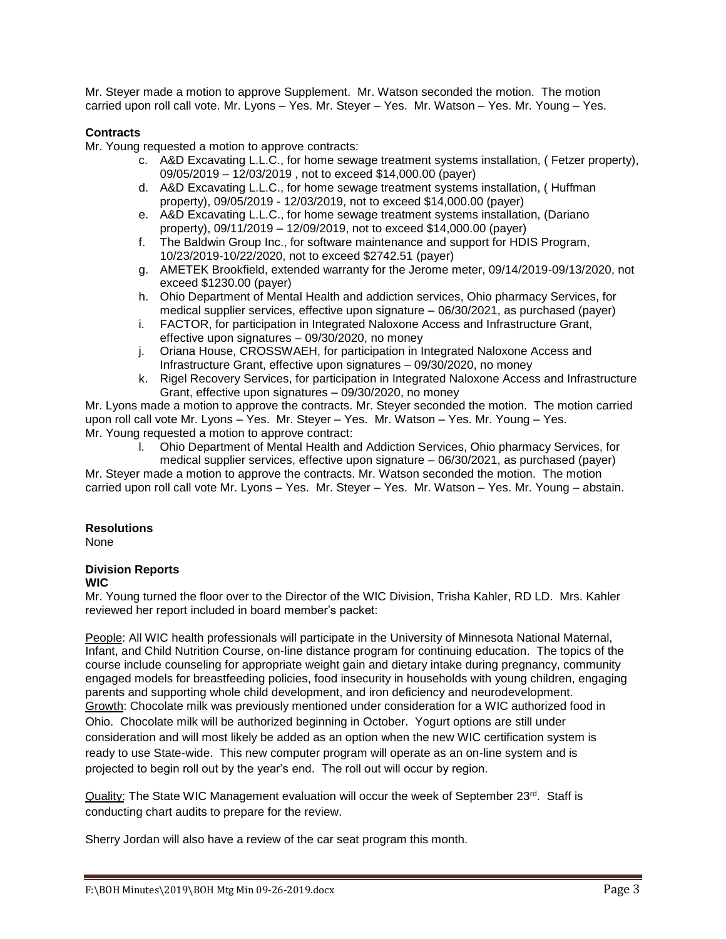Mr. Steyer made a motion to approve Supplement. Mr. Watson seconded the motion. The motion carried upon roll call vote. Mr. Lyons – Yes. Mr. Steyer – Yes. Mr. Watson – Yes. Mr. Young – Yes.

# **Contracts**

Mr. Young requested a motion to approve contracts:

- c. A&D Excavating L.L.C., for home sewage treatment systems installation, ( Fetzer property), 09/05/2019 – 12/03/2019 , not to exceed \$14,000.00 (payer)
- d. A&D Excavating L.L.C., for home sewage treatment systems installation, ( Huffman property), 09/05/2019 - 12/03/2019, not to exceed \$14,000.00 (payer)
- e. A&D Excavating L.L.C., for home sewage treatment systems installation, (Dariano property), 09/11/2019 – 12/09/2019, not to exceed \$14,000.00 (payer)
- f. The Baldwin Group Inc., for software maintenance and support for HDIS Program, 10/23/2019-10/22/2020, not to exceed \$2742.51 (payer)
- g. AMETEK Brookfield, extended warranty for the Jerome meter, 09/14/2019-09/13/2020, not exceed \$1230.00 (payer)
- h. Ohio Department of Mental Health and addiction services, Ohio pharmacy Services, for medical supplier services, effective upon signature – 06/30/2021, as purchased (payer)
- i. FACTOR, for participation in Integrated Naloxone Access and Infrastructure Grant, effective upon signatures – 09/30/2020, no money
- j. Oriana House, CROSSWAEH, for participation in Integrated Naloxone Access and Infrastructure Grant, effective upon signatures – 09/30/2020, no money
- k. Rigel Recovery Services, for participation in Integrated Naloxone Access and Infrastructure Grant, effective upon signatures – 09/30/2020, no money

Mr. Lyons made a motion to approve the contracts. Mr. Steyer seconded the motion. The motion carried upon roll call vote Mr. Lyons – Yes. Mr. Steyer – Yes. Mr. Watson – Yes. Mr. Young – Yes. Mr. Young requested a motion to approve contract:

l. Ohio Department of Mental Health and Addiction Services, Ohio pharmacy Services, for

medical supplier services, effective upon signature – 06/30/2021, as purchased (payer)

Mr. Steyer made a motion to approve the contracts. Mr. Watson seconded the motion. The motion carried upon roll call vote Mr. Lyons – Yes. Mr. Steyer – Yes. Mr. Watson – Yes. Mr. Young – abstain.

## **Resolutions**

None

# **Division Reports**

## **WIC**

Mr. Young turned the floor over to the Director of the WIC Division, Trisha Kahler, RD LD. Mrs. Kahler reviewed her report included in board member's packet:

People: All WIC health professionals will participate in the University of Minnesota National Maternal, Infant, and Child Nutrition Course, on-line distance program for continuing education. The topics of the course include counseling for appropriate weight gain and dietary intake during pregnancy, community engaged models for breastfeeding policies, food insecurity in households with young children, engaging parents and supporting whole child development, and iron deficiency and neurodevelopment. Growth: Chocolate milk was previously mentioned under consideration for a WIC authorized food in Ohio. Chocolate milk will be authorized beginning in October. Yogurt options are still under consideration and will most likely be added as an option when the new WIC certification system is ready to use State-wide. This new computer program will operate as an on-line system and is projected to begin roll out by the year's end. The roll out will occur by region.

Quality: The State WIC Management evaluation will occur the week of September 23rd. Staff is conducting chart audits to prepare for the review.

Sherry Jordan will also have a review of the car seat program this month.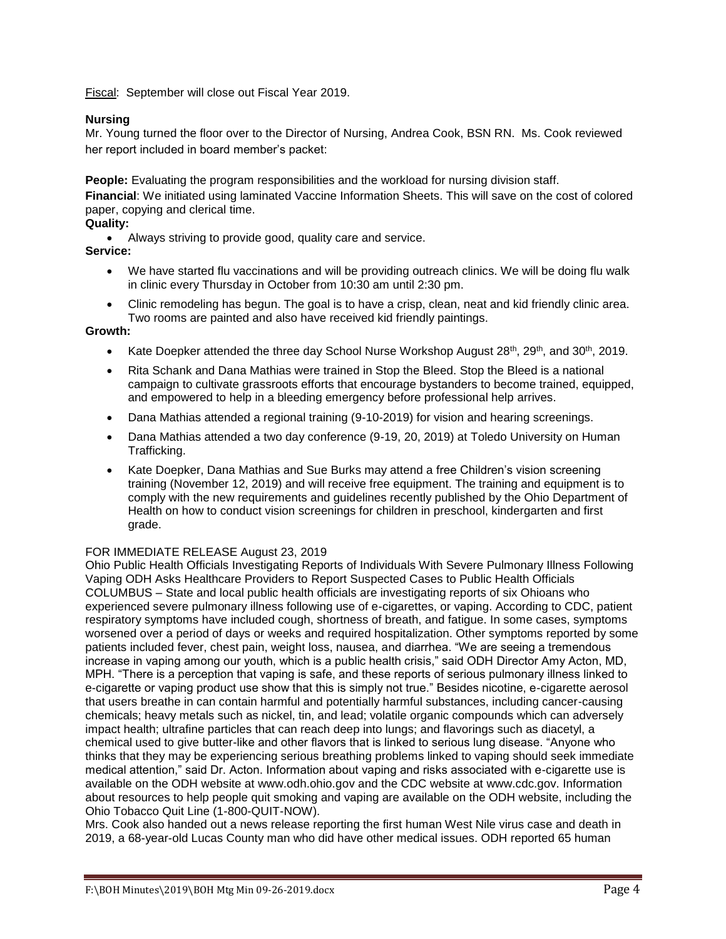Fiscal: September will close out Fiscal Year 2019.

# **Nursing**

Mr. Young turned the floor over to the Director of Nursing, Andrea Cook, BSN RN. Ms. Cook reviewed her report included in board member's packet:

**People:** Evaluating the program responsibilities and the workload for nursing division staff.

**Financial**: We initiated using laminated Vaccine Information Sheets. This will save on the cost of colored paper, copying and clerical time.

# **Quality:**

Always striving to provide good, quality care and service.

## **Service:**

- We have started flu vaccinations and will be providing outreach clinics. We will be doing flu walk in clinic every Thursday in October from 10:30 am until 2:30 pm.
- Clinic remodeling has begun. The goal is to have a crisp, clean, neat and kid friendly clinic area. Two rooms are painted and also have received kid friendly paintings.

## **Growth:**

- Kate Doepker attended the three day School Nurse Workshop August  $28<sup>th</sup>$ ,  $29<sup>th</sup>$ , and  $30<sup>th</sup>$ ,  $2019$ .
- Rita Schank and Dana Mathias were trained in Stop the Bleed. Stop the Bleed is a national campaign to cultivate grassroots efforts that encourage bystanders to become trained, equipped, and empowered to help in a bleeding emergency before professional help arrives.
- Dana Mathias attended a regional training (9-10-2019) for vision and hearing screenings.
- Dana Mathias attended a two day conference (9-19, 20, 2019) at Toledo University on Human Trafficking.
- Kate Doepker, Dana Mathias and Sue Burks may attend a free Children's vision screening training (November 12, 2019) and will receive free equipment. The training and equipment is to comply with the new requirements and guidelines recently published by the Ohio Department of Health on how to conduct vision screenings for children in preschool, kindergarten and first grade.

# FOR IMMEDIATE RELEASE August 23, 2019

Ohio Public Health Officials Investigating Reports of Individuals With Severe Pulmonary Illness Following Vaping ODH Asks Healthcare Providers to Report Suspected Cases to Public Health Officials COLUMBUS – State and local public health officials are investigating reports of six Ohioans who experienced severe pulmonary illness following use of e-cigarettes, or vaping. According to CDC, patient respiratory symptoms have included cough, shortness of breath, and fatigue. In some cases, symptoms worsened over a period of days or weeks and required hospitalization. Other symptoms reported by some patients included fever, chest pain, weight loss, nausea, and diarrhea. "We are seeing a tremendous increase in vaping among our youth, which is a public health crisis," said ODH Director Amy Acton, MD, MPH. "There is a perception that vaping is safe, and these reports of serious pulmonary illness linked to e-cigarette or vaping product use show that this is simply not true." Besides nicotine, e-cigarette aerosol that users breathe in can contain harmful and potentially harmful substances, including cancer-causing chemicals; heavy metals such as nickel, tin, and lead; volatile organic compounds which can adversely impact health; ultrafine particles that can reach deep into lungs; and flavorings such as diacetyl, a chemical used to give butter-like and other flavors that is linked to serious lung disease. "Anyone who thinks that they may be experiencing serious breathing problems linked to vaping should seek immediate medical attention," said Dr. Acton. Information about vaping and risks associated with e-cigarette use is available on the ODH website at www.odh.ohio.gov and the CDC website at www.cdc.gov. Information about resources to help people quit smoking and vaping are available on the ODH website, including the Ohio Tobacco Quit Line (1-800-QUIT-NOW).

Mrs. Cook also handed out a news release reporting the first human West Nile virus case and death in 2019, a 68-year-old Lucas County man who did have other medical issues. ODH reported 65 human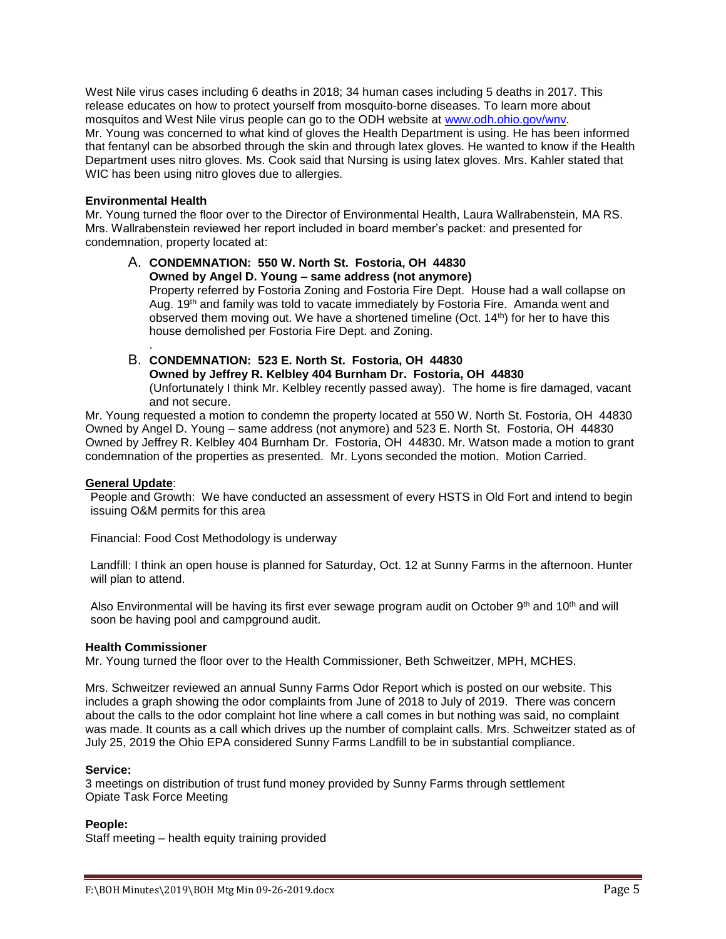West Nile virus cases including 6 deaths in 2018; 34 human cases including 5 deaths in 2017. This release educates on how to protect yourself from mosquito-borne diseases. To learn more about mosquitos and West Nile virus people can go to the ODH website at [www.odh.ohio.gov/wnv.](http://www.odh.ohio.gov/wnv) Mr. Young was concerned to what kind of gloves the Health Department is using. He has been informed that fentanyl can be absorbed through the skin and through latex gloves. He wanted to know if the Health Department uses nitro gloves. Ms. Cook said that Nursing is using latex gloves. Mrs. Kahler stated that WIC has been using nitro gloves due to allergies.

## **Environmental Health**

.

Mr. Young turned the floor over to the Director of Environmental Health, Laura Wallrabenstein, MA RS. Mrs. Wallrabenstein reviewed her report included in board member's packet: and presented for condemnation, property located at:

# A. **CONDEMNATION: 550 W. North St. Fostoria, OH 44830 Owned by Angel D. Young – same address (not anymore)**

Property referred by Fostoria Zoning and Fostoria Fire Dept. House had a wall collapse on Aug. 19<sup>th</sup> and family was told to vacate immediately by Fostoria Fire. Amanda went and observed them moving out. We have a shortened timeline (Oct. 14<sup>th</sup>) for her to have this house demolished per Fostoria Fire Dept. and Zoning.

# B. **CONDEMNATION: 523 E. North St. Fostoria, OH 44830**

**Owned by Jeffrey R. Kelbley 404 Burnham Dr. Fostoria, OH 44830** (Unfortunately I think Mr. Kelbley recently passed away). The home is fire damaged, vacant and not secure.

Mr. Young requested a motion to condemn the property located at 550 W. North St. Fostoria, OH 44830 Owned by Angel D. Young – same address (not anymore) and 523 E. North St. Fostoria, OH 44830 Owned by Jeffrey R. Kelbley 404 Burnham Dr. Fostoria, OH 44830. Mr. Watson made a motion to grant condemnation of the properties as presented. Mr. Lyons seconded the motion. Motion Carried.

# **General Update**:

People and Growth: We have conducted an assessment of every HSTS in Old Fort and intend to begin issuing O&M permits for this area

Financial: Food Cost Methodology is underway

Landfill: I think an open house is planned for Saturday, Oct. 12 at Sunny Farms in the afternoon. Hunter will plan to attend.

Also Environmental will be having its first ever sewage program audit on October 9th and 10th and will soon be having pool and campground audit.

## **Health Commissioner**

Mr. Young turned the floor over to the Health Commissioner, Beth Schweitzer, MPH, MCHES.

Mrs. Schweitzer reviewed an annual Sunny Farms Odor Report which is posted on our website. This includes a graph showing the odor complaints from June of 2018 to July of 2019. There was concern about the calls to the odor complaint hot line where a call comes in but nothing was said, no complaint was made. It counts as a call which drives up the number of complaint calls. Mrs. Schweitzer stated as of July 25, 2019 the Ohio EPA considered Sunny Farms Landfill to be in substantial compliance.

## **Service:**

3 meetings on distribution of trust fund money provided by Sunny Farms through settlement Opiate Task Force Meeting

# **People:**

Staff meeting – health equity training provided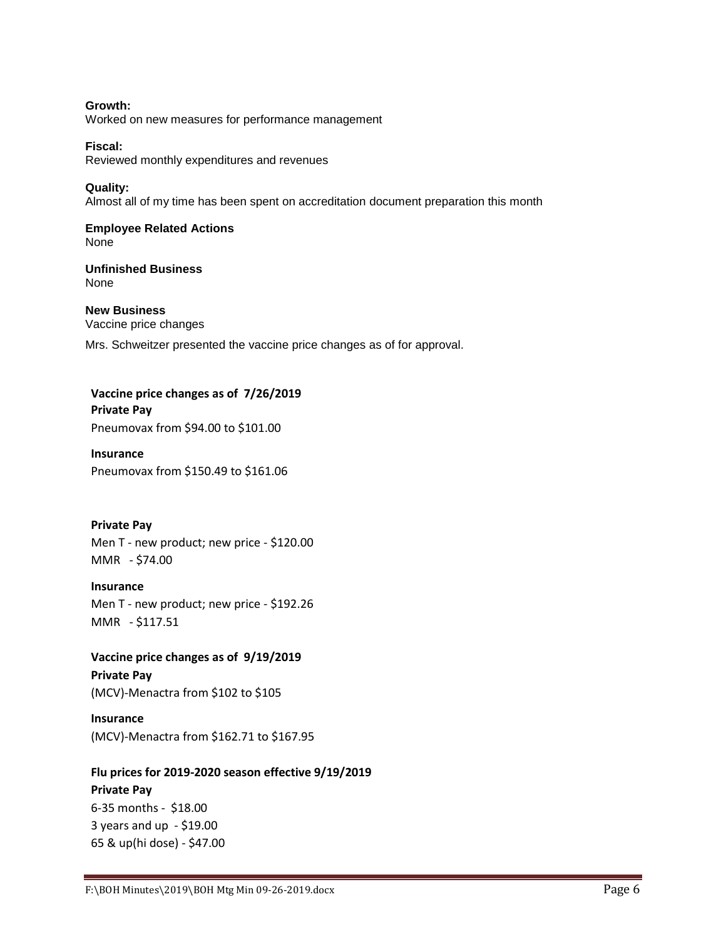**Growth:** Worked on new measures for performance management

**Fiscal:** Reviewed monthly expenditures and revenues

**Quality:** Almost all of my time has been spent on accreditation document preparation this month

**Employee Related Actions** None

**Unfinished Business** None

**New Business** Vaccine price changes

Mrs. Schweitzer presented the vaccine price changes as of for approval.

**Vaccine price changes as of 7/26/2019 Private Pay** Pneumovax from \$94.00 to \$101.00

**Insurance** Pneumovax from \$150.49 to \$161.06

**Private Pay** Men T - new product; new price - \$120.00 MMR - \$74.00

**Insurance** Men T - new product; new price - \$192.26 MMR - \$117.51

**Vaccine price changes as of 9/19/2019 Private Pay** (MCV)-Menactra from \$102 to \$105

**Insurance** (MCV)-Menactra from \$162.71 to \$167.95

**Flu prices for 2019-2020 season effective 9/19/2019 Private Pay** 6-35 months - \$18.00 3 years and up - \$19.00 65 & up(hi dose) - \$47.00